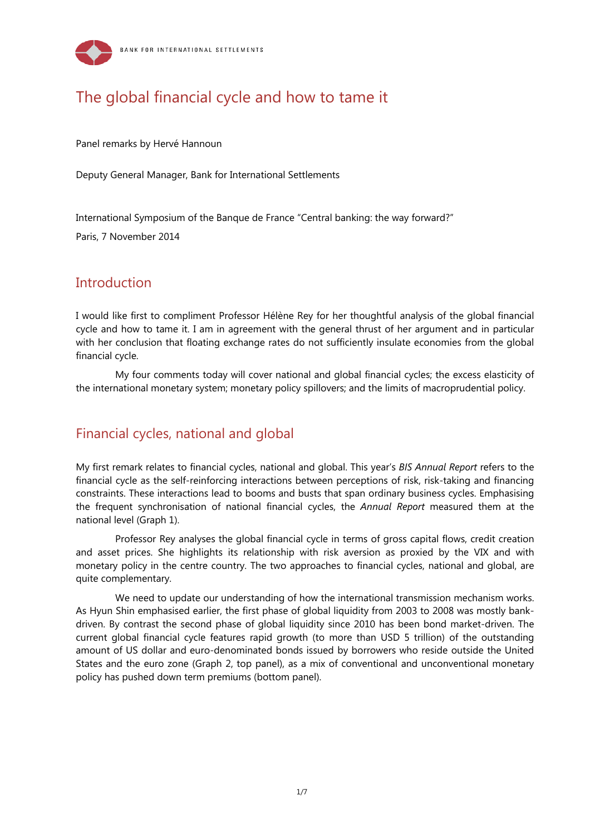

# The global financial cycle and how to tame it

Panel remarks by Hervé Hannoun

Deputy General Manager, Bank for International Settlements

International Symposium of the Banque de France "Central banking: the way forward?"

Paris, 7 November 2014

## Introduction

I would like first to compliment Professor Hélène Rey for her thoughtful analysis of the global financial cycle and how to tame it. I am in agreement with the general thrust of her argument and in particular with her conclusion that floating exchange rates do not sufficiently insulate economies from the global financial cycle.

My four comments today will cover national and global financial cycles; the excess elasticity of the international monetary system; monetary policy spillovers; and the limits of macroprudential policy.

## Financial cycles, national and global

My first remark relates to financial cycles, national and global. This year's *BIS Annual Report* refers to the financial cycle as the self-reinforcing interactions between perceptions of risk, risk-taking and financing constraints. These interactions lead to booms and busts that span ordinary business cycles. Emphasising the frequent synchronisation of national financial cycles, the *Annual Report* measured them at the national level (Graph 1).

Professor Rey analyses the global financial cycle in terms of gross capital flows, credit creation and asset prices. She highlights its relationship with risk aversion as proxied by the VIX and with monetary policy in the centre country. The two approaches to financial cycles, national and global, are quite complementary.

We need to update our understanding of how the international transmission mechanism works. As Hyun Shin emphasised earlier, the first phase of global liquidity from 2003 to 2008 was mostly bankdriven. By contrast the second phase of global liquidity since 2010 has been bond market-driven. The current global financial cycle features rapid growth (to more than USD 5 trillion) of the outstanding amount of US dollar and euro-denominated bonds issued by borrowers who reside outside the United States and the euro zone (Graph 2, top panel), as a mix of conventional and unconventional monetary policy has pushed down term premiums (bottom panel).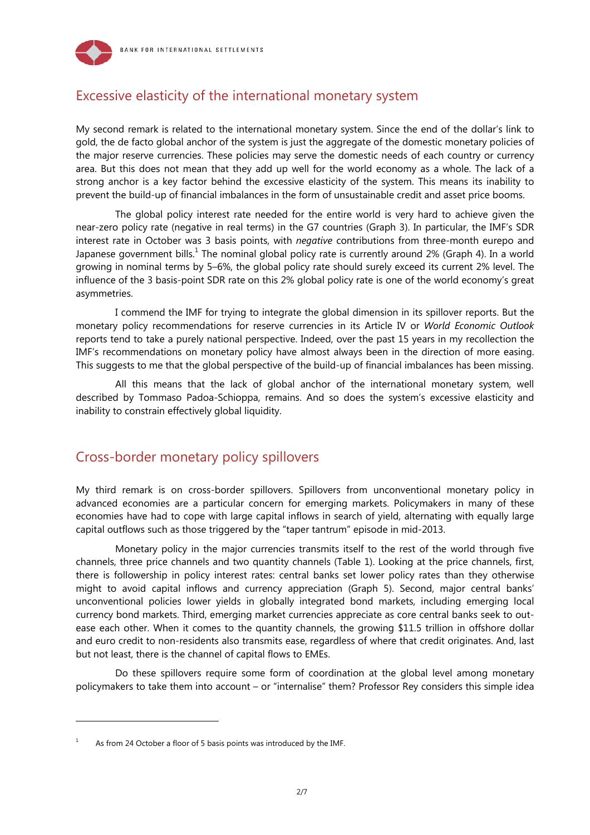



## Excessive elasticity of the international monetary system

My second remark is related to the international monetary system. Since the end of the dollar's link to gold, the de facto global anchor of the system is just the aggregate of the domestic monetary policies of the major reserve currencies. These policies may serve the domestic needs of each country or currency area. But this does not mean that they add up well for the world economy as a whole. The lack of a strong anchor is a key factor behind the excessive elasticity of the system. This means its inability to prevent the build-up of financial imbalances in the form of unsustainable credit and asset price booms.

The global policy interest rate needed for the entire world is very hard to achieve given the near-zero policy rate (negative in real terms) in the G7 countries (Graph 3). In particular, the IMF's SDR interest rate in October was 3 basis points, with *negative* contributions from three-month eurepo and Japanese government bills.<sup>1</sup> The nominal global policy rate is currently around 2% (Graph 4). In a world growing in nominal terms by 5–6%, the global policy rate should surely exceed its current 2% level. The influence of the 3 basis-point SDR rate on this 2% global policy rate is one of the world economy's great asymmetries.

I commend the IMF for trying to integrate the global dimension in its spillover reports. But the monetary policy recommendations for reserve currencies in its Article IV or *World Economic Outlook* reports tend to take a purely national perspective. Indeed, over the past 15 years in my recollection the IMF's recommendations on monetary policy have almost always been in the direction of more easing. This suggests to me that the global perspective of the build-up of financial imbalances has been missing.

All this means that the lack of global anchor of the international monetary system, well described by Tommaso Padoa-Schioppa, remains. And so does the system's excessive elasticity and inability to constrain effectively global liquidity.

## Cross-border monetary policy spillovers

My third remark is on cross-border spillovers. Spillovers from unconventional monetary policy in advanced economies are a particular concern for emerging markets. Policymakers in many of these economies have had to cope with large capital inflows in search of yield, alternating with equally large capital outflows such as those triggered by the "taper tantrum" episode in mid-2013.

Monetary policy in the major currencies transmits itself to the rest of the world through five channels, three price channels and two quantity channels (Table 1). Looking at the price channels, first, there is followership in policy interest rates: central banks set lower policy rates than they otherwise might to avoid capital inflows and currency appreciation (Graph 5). Second, major central banks' unconventional policies lower yields in globally integrated bond markets, including emerging local currency bond markets. Third, emerging market currencies appreciate as core central banks seek to outease each other. When it comes to the quantity channels, the growing \$11.5 trillion in offshore dollar and euro credit to non-residents also transmits ease, regardless of where that credit originates. And, last but not least, there is the channel of capital flows to EMEs.

Do these spillovers require some form of coordination at the global level among monetary policymakers to take them into account – or "internalise" them? Professor Rey considers this simple idea

l

<sup>1</sup> As from 24 October a floor of 5 basis points was introduced by the IMF.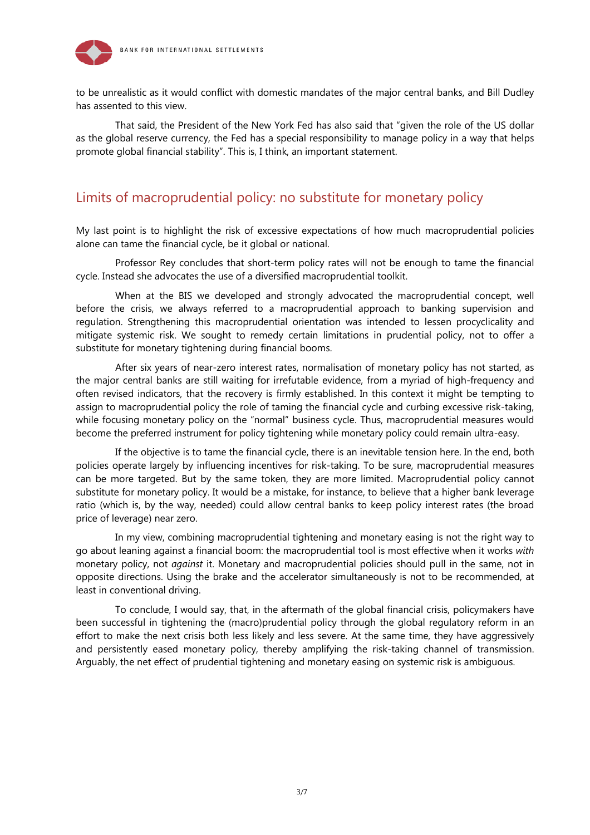

to be unrealistic as it would conflict with domestic mandates of the major central banks, and Bill Dudley has assented to this view.

That said, the President of the New York Fed has also said that "given the role of the US dollar as the global reserve currency, the Fed has a special responsibility to manage policy in a way that helps promote global financial stability". This is, I think, an important statement.

## Limits of macroprudential policy: no substitute for monetary policy

My last point is to highlight the risk of excessive expectations of how much macroprudential policies alone can tame the financial cycle, be it global or national.

Professor Rey concludes that short-term policy rates will not be enough to tame the financial cycle. Instead she advocates the use of a diversified macroprudential toolkit.

When at the BIS we developed and strongly advocated the macroprudential concept, well before the crisis, we always referred to a macroprudential approach to banking supervision and regulation. Strengthening this macroprudential orientation was intended to lessen procyclicality and mitigate systemic risk. We sought to remedy certain limitations in prudential policy, not to offer a substitute for monetary tightening during financial booms.

After six years of near-zero interest rates, normalisation of monetary policy has not started, as the major central banks are still waiting for irrefutable evidence, from a myriad of high-frequency and often revised indicators, that the recovery is firmly established. In this context it might be tempting to assign to macroprudential policy the role of taming the financial cycle and curbing excessive risk-taking, while focusing monetary policy on the "normal" business cycle. Thus, macroprudential measures would become the preferred instrument for policy tightening while monetary policy could remain ultra-easy.

If the objective is to tame the financial cycle, there is an inevitable tension here. In the end, both policies operate largely by influencing incentives for risk-taking. To be sure, macroprudential measures can be more targeted. But by the same token, they are more limited. Macroprudential policy cannot substitute for monetary policy. It would be a mistake, for instance, to believe that a higher bank leverage ratio (which is, by the way, needed) could allow central banks to keep policy interest rates (the broad price of leverage) near zero.

In my view, combining macroprudential tightening and monetary easing is not the right way to go about leaning against a financial boom: the macroprudential tool is most effective when it works *with* monetary policy, not *against* it. Monetary and macroprudential policies should pull in the same, not in opposite directions. Using the brake and the accelerator simultaneously is not to be recommended, at least in conventional driving.

To conclude, I would say, that, in the aftermath of the global financial crisis, policymakers have been successful in tightening the (macro)prudential policy through the global regulatory reform in an effort to make the next crisis both less likely and less severe. At the same time, they have aggressively and persistently eased monetary policy, thereby amplifying the risk-taking channel of transmission. Arguably, the net effect of prudential tightening and monetary easing on systemic risk is ambiguous.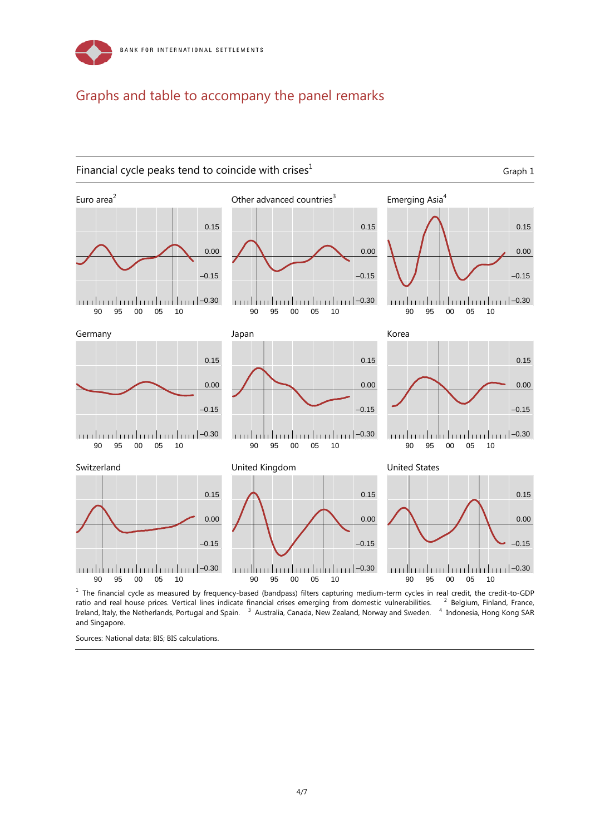

## Graphs and table to accompany the panel remarks



<sup>1</sup> The financial cycle as measured by frequency-based (bandpass) filters capturing medium-term cycles in real credit, the credit-to-GDP ratio and real house prices. Vertical lines indicate financial crises emerging from domestic vulnerabilities. <sup>2</sup> Belgium, Finland, France, Ireland, Italy, the Netherlands, Portugal and Spain. <sup>3</sup> Australia, Canada, New Zealand, Norway and Sweden. <sup>4</sup> Indonesia, Hong Kong SAR and Singapore.

Sources: National data; BIS; BIS calculations.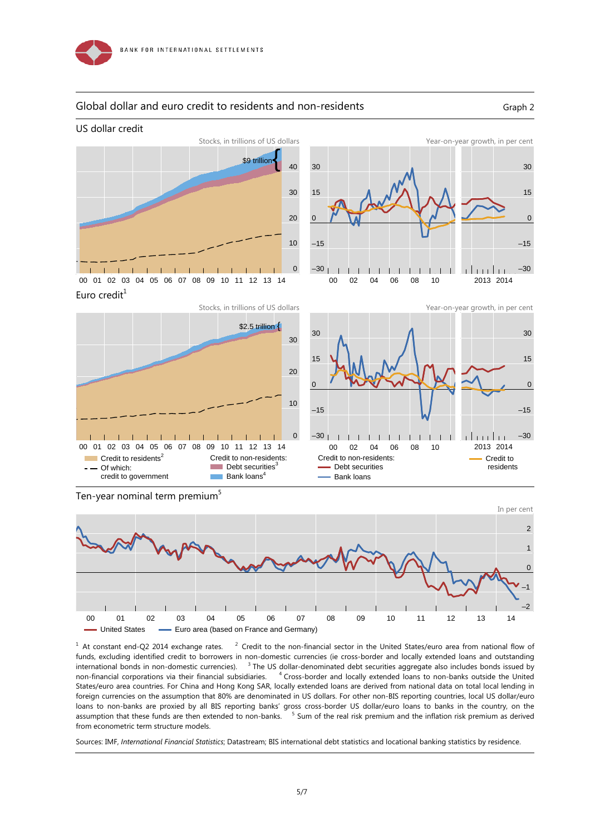

US dollar credit

#### Global dollar and euro credit to residents and non-residents Graph 2





Euro credit $1$ 





Ten-year nominal term premium<sup>5</sup>



 $1$  At constant end-Q2 2014 exchange rates.  $2$  $2$  Credit to the non-financial sector in the United States/euro area from national flow of funds, excluding identified credit to borrowers in non-domestic currencies (ie cross-border and locally extended loans and outstanding international bonds in non-domestic currencies). <sup>3</sup> The US dollar-denominated debt securities aggregate also includes bonds issued by non-financial corporations via their financial subsidiaries. <sup>4</sup>  $4$  Cross-border and locally extended loans to non-banks outside the United States/euro area countries. For China and Hong Kong SAR, locally extended loans are derived from national data on total local lending in foreign currencies on the assumption that 80% are denominated in US dollars. For other non-BIS reporting countries, local US dollar/euro loans to non-banks are proxied by all BIS reporting banks' gross cross-border US dollar/euro loans to banks in the country, on the assumption that these funds are then extended to non-banks. <sup>5</sup> Sum of the real risk premium and the inflation risk premium as derived from econometric term structure models.

Sources: IMF, *International Financial Statistics*; Datastream; BIS international debt statistics and locational banking statistics by residence.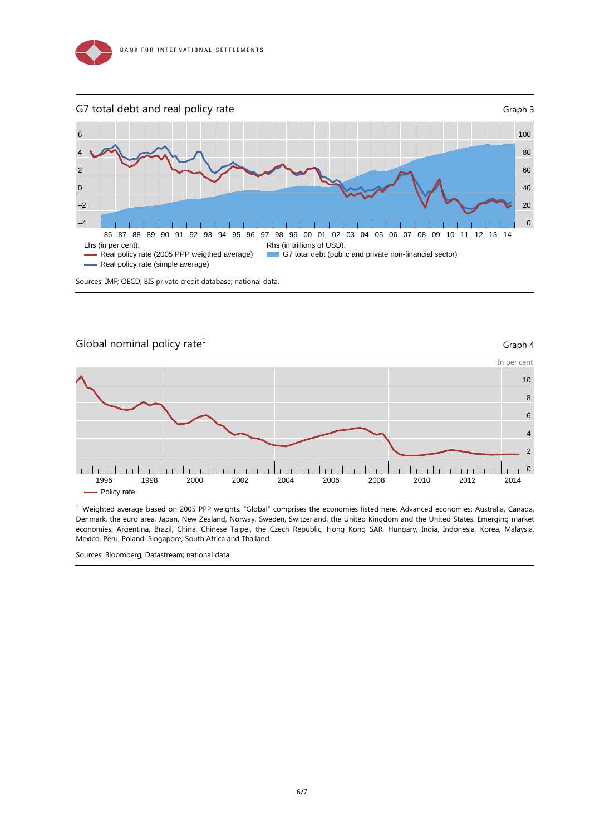





 $<sup>1</sup>$  Weighted average based on 2005 PPP weights. "Global" comprises the economies listed here. Advanced economies: Australia, Canada,</sup> Denmark, the euro area, Japan, New Zealand, Norway, Sweden, Switzerland, the United Kingdom and the United States. Emerging market economies: Argentina, Brazil, China, Chinese Taipei, the Czech Republic, Hong Kong SAR, Hungary, India, Indonesia, Korea, Malaysia, Mexico, Peru, Poland, Singapore, South Africa and Thailand.

Sources: Bloomberg; Datastream; national data.